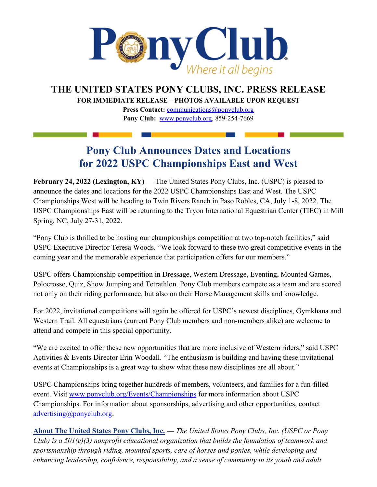

## **THE UNITED STATES PONY CLUBS, INC. PRESS RELEASE**

**FOR IMMEDIATE RELEASE** – **PHOTOS AVAILABLE UPON REQUEST** 

Press Contact: *[communications@ponyclub.org](mailto:communications@ponyclub.org)* **Pony Club:** [www.ponyclub.org, 8](http://www.ponyclub.org/)59-254-7669

## **Pony Club Announces Dates and Locations for 2022 USPC Championships East and West**

**February 24, 2022 (Lexington, KY)** — The United States Pony Clubs, Inc. (USPC) is pleased to announce the dates and locations for the 2022 USPC Championships East and West. The USPC Championships West will be heading to Twin Rivers Ranch in Paso Robles, CA, July 1-8, 2022. The USPC Championships East will be returning to the Tryon International Equestrian Center (TIEC) in Mill Spring, NC, July 27-31, 2022.

"Pony Club is thrilled to be hosting our championships competition at two top-notch facilities," said USPC Executive Director Teresa Woods. "We look forward to these two great competitive events in the coming year and the memorable experience that participation offers for our members."

USPC offers Championship competition in Dressage, Western Dressage, Eventing, Mounted Games, Polocrosse, Quiz, Show Jumping and Tetrathlon. Pony Club members compete as a team and are scored not only on their riding performance, but also on their Horse Management skills and knowledge.

For 2022, invitational competitions will again be offered for USPC's newest disciplines, Gymkhana and Western Trail. All equestrians (current Pony Club members and non-members alike) are welcome to attend and compete in this special opportunity.

"We are excited to offer these new opportunities that are more inclusive of Western riders," said USPC Activities & Events Director Erin Woodall. "The enthusiasm is building and having these invitational events at Championships is a great way to show what these new disciplines are all about."

USPC Championships bring together hundreds of members, volunteers, and families for a fun-filled event. Visit [www.ponyclub.org/Events/Championships](https://www.ponyclub.org/Events/Championships/) for more information about USPC Championships. For information about sponsorships, advertising and other opportunities, contact [advertising@ponyclub.org.](mailto:advertising@ponyclub.org)

**[About The United States Pony Clubs, Inc.](https://www.ponyclub.org/) —** *The United States Pony Clubs, Inc. (USPC or Pony Club) is a 501(c)(3) nonprofit educational organization that builds the foundation of teamwork and sportsmanship through riding, mounted sports, care of horses and ponies, while developing and enhancing leadership, confidence, responsibility, and a sense of community in its youth and adult*